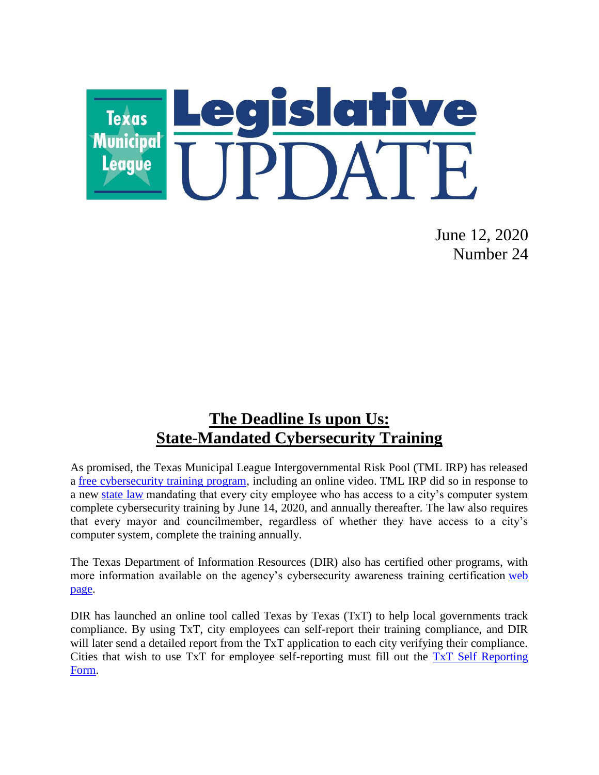

June 12, 2020 Number 24

### **The Deadline Is upon Us: State-Mandated Cybersecurity Training**

As promised, the Texas Municipal League Intergovernmental Risk Pool (TML IRP) has released a [free cybersecurity training program,](http://info.tmlirp.org/cyber-security-training-program) including an online video. TML IRP did so in response to a new [state law](https://statutes.capitol.texas.gov/Docs/GV/htm/GV.2054.htm#2054.511) mandating that every city employee who has access to a city's computer system complete cybersecurity training by June 14, 2020, and annually thereafter. The law also requires that every mayor and councilmember, regardless of whether they have access to a city's computer system, complete the training annually.

The Texas Department of Information Resources (DIR) also has certified other programs, with more information available on the agency's cybersecurity awareness training certification web [page.](https://dir.texas.gov/View-About-DIR/Information-Security/Pages/Content.aspx?id=154)

DIR has launched an online tool called Texas by Texas (TxT) to help local governments track compliance. By using TxT, city employees can self-report their training compliance, and DIR will later send a detailed report from the TxT application to each city verifying their compliance. Cities that wish to use TxT for employee self-reporting must fill out the [TxT Self Reporting](https://www.surveygizmo.com/s3/5469429/House-Bill-3834-Texas-by-Texas-TxT-Self-Reporting)  [Form.](https://www.surveygizmo.com/s3/5469429/House-Bill-3834-Texas-by-Texas-TxT-Self-Reporting)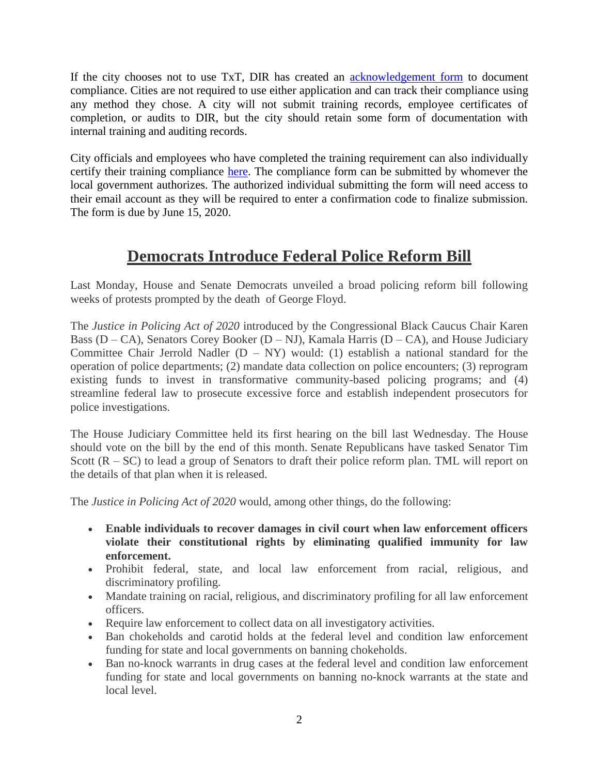If the city chooses not to use TxT, DIR has created an [acknowledgement form](https://pubext.dir.texas.gov/portal/internal/resources/DocumentLibrary/Governing%20Board%20Acknowledgement%202020.docx) to document compliance. Cities are not required to use either application and can track their compliance using any method they chose. A city will not submit training records, employee certificates of completion, or audits to DIR, but the city should retain some form of documentation with internal training and auditing records.

City officials and employees who have completed the training requirement can also individually certify their training compliance [here.](https://dircommunity.force.com/SecurityTrainingVerification/s/HB3834CertificationLG) The compliance form can be submitted by whomever the local government authorizes. The authorized individual submitting the form will need access to their email account as they will be required to enter a confirmation code to finalize submission. The form is due by June 15, 2020.

# **Democrats Introduce Federal Police Reform Bill**

Last Monday, House and Senate Democrats unveiled a broad policing reform bill following weeks of protests prompted by the death of George Floyd.

The *Justice in Policing Act of 2020* introduced by the Congressional Black Caucus Chair Karen Bass (D – CA), Senators Corey Booker (D – NJ), Kamala Harris (D – CA), and House Judiciary Committee Chair Jerrold Nadler  $(D - NY)$  would: (1) establish a national standard for the operation of police departments; (2) mandate data collection on police encounters; (3) reprogram existing funds to invest in transformative community-based policing programs; and (4) streamline federal law to prosecute excessive force and establish independent prosecutors for police investigations.

The House Judiciary Committee held its first hearing on the bill last Wednesday. The House should vote on the bill by the end of this month. Senate Republicans have tasked Senator Tim Scott  $(R - SC)$  to lead a group of Senators to draft their police reform plan. TML will report on the details of that plan when it is released.

The *Justice in Policing Act of 2020* would, among other things, do the following:

- **Enable individuals to recover damages in civil court when law enforcement officers violate their constitutional rights by eliminating qualified immunity for law enforcement.**
- Prohibit federal, state, and local law enforcement from racial, religious, and discriminatory profiling.
- Mandate training on racial, religious, and discriminatory profiling for all law enforcement officers.
- Require law enforcement to collect data on all investigatory activities.
- Ban chokeholds and carotid holds at the federal level and condition law enforcement funding for state and local governments on banning chokeholds.
- Ban no-knock warrants in drug cases at the federal level and condition law enforcement funding for state and local governments on banning no-knock warrants at the state and local level.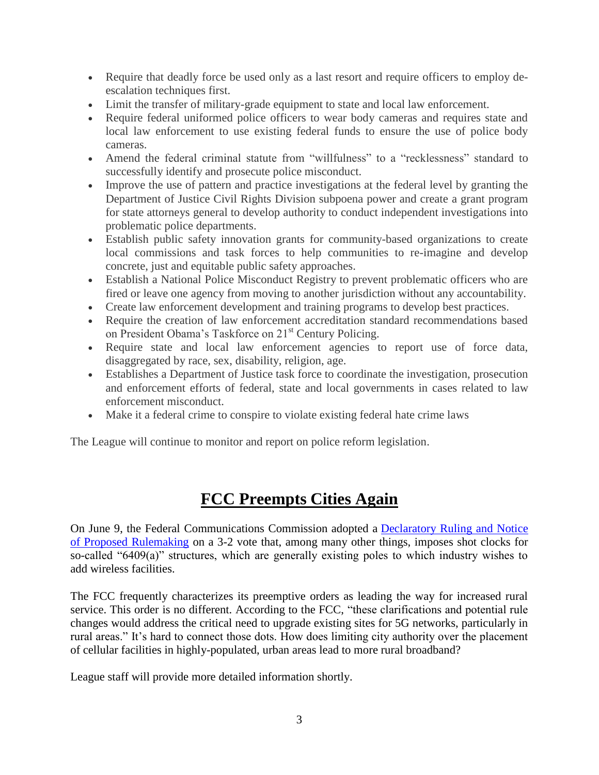- Require that deadly force be used only as a last resort and require officers to employ deescalation techniques first.
- Limit the transfer of military-grade equipment to state and local law enforcement.
- Require federal uniformed police officers to wear body cameras and requires state and local law enforcement to use existing federal funds to ensure the use of police body cameras.
- Amend the federal criminal statute from "willfulness" to a "recklessness" standard to successfully identify and prosecute police misconduct.
- Improve the use of pattern and practice investigations at the federal level by granting the Department of Justice Civil Rights Division subpoena power and create a grant program for state attorneys general to develop authority to conduct independent investigations into problematic police departments.
- Establish public safety innovation grants for community-based organizations to create local commissions and task forces to help communities to re-imagine and develop concrete, just and equitable public safety approaches.
- Establish a National Police Misconduct Registry to prevent problematic officers who are fired or leave one agency from moving to another jurisdiction without any accountability.
- Create law enforcement development and training programs to develop best practices.
- Require the creation of law enforcement accreditation standard recommendations based on President Obama's Taskforce on 21<sup>st</sup> Century Policing.
- Require state and local law enforcement agencies to report use of force data, disaggregated by race, sex, disability, religion, age.
- Establishes a Department of Justice task force to coordinate the investigation, prosecution and enforcement efforts of federal, state and local governments in cases related to law enforcement misconduct.
- Make it a federal crime to conspire to violate existing federal hate crime laws

The League will continue to monitor and report on police reform legislation.

# **FCC Preempts Cities Again**

On June 9, the Federal Communications Commission adopted a [Declaratory Ruling and Notice](https://ecfsapi.fcc.gov/file/0610971105336/FCC-20-75A1.pdf)  [of Proposed Rulemaking](https://ecfsapi.fcc.gov/file/0610971105336/FCC-20-75A1.pdf) on a 3-2 vote that, among many other things, imposes shot clocks for so-called "6409(a)" structures, which are generally existing poles to which industry wishes to add wireless facilities.

The FCC frequently characterizes its preemptive orders as leading the way for increased rural service. This order is no different. According to the FCC, "these clarifications and potential rule changes would address the critical need to upgrade existing sites for 5G networks, particularly in rural areas." It's hard to connect those dots. How does limiting city authority over the placement of cellular facilities in highly-populated, urban areas lead to more rural broadband?

League staff will provide more detailed information shortly.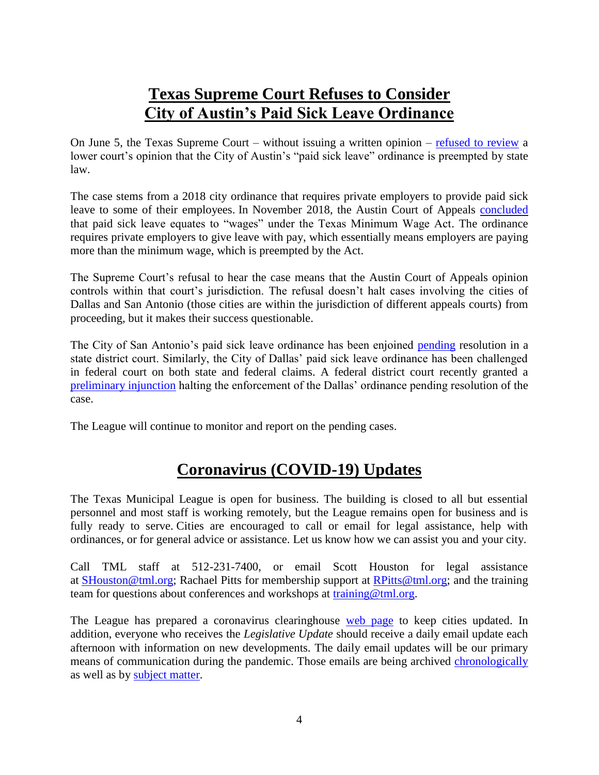# **Texas Supreme Court Refuses to Consider City of Austin's Paid Sick Leave Ordinance**

On June 5, the Texas Supreme Court – without issuing a written opinion – [refused to review](https://www.txcourts.gov/supreme/orders-opinions/2020/june/june-5-2020/) a lower court's opinion that the City of Austin's "paid sick leave" ordinance is preempted by state law.

The case stems from a 2018 city ordinance that requires private employers to provide paid sick leave to some of their employees. In November 2018, the Austin Court of Appeals [concluded](http://www.search.txcourts.gov/SearchMedia.aspx?MediaVersionID=e921293f-831d-4d6a-9810-ea1dd71efb80&MediaID=83ede189-7946-4799-8c92-fc5e6d18d539&coa=%22%20+%20this.CurrentWebState.CurrentCourt%20%20+%20@%22&DT=Opinion) that paid sick leave equates to "wages" under the Texas Minimum Wage Act. The ordinance requires private employers to give leave with pay, which essentially means employers are paying more than the minimum wage, which is preempted by the Act.

The Supreme Court's refusal to hear the case means that the Austin Court of Appeals opinion controls within that court's jurisdiction. The refusal doesn't halt cases involving the cities of Dallas and San Antonio (those cities are within the jurisdiction of different appeals courts) from proceeding, but it makes their success questionable.

The City of San Antonio's paid sick leave ordinance has been enjoined [pending](https://www.sanantonio.gov/Portals/0/Files/health/PaidSickLeave/Agreed%20Order%20Staying%20Implementation%20Date%20of%20Ordinance%202018-08-16-06208.pdf?ver=2019-07-25-132110-370) resolution in a state district court. Similarly, the City of Dallas' paid sick leave ordinance has been challenged in federal court on both state and federal claims. A federal district court recently granted a [preliminary injunction](file://TML-FS01/LEGAL/Paid%20Sick%20Leave%20Litigation%20COA/ESIEmployee%20Solutions%20LP%20v%20City%20of%20Dallas.pdf) halting the enforcement of the Dallas' ordinance pending resolution of the case.

The League will continue to monitor and report on the pending cases.

# **Coronavirus (COVID-19) Updates**

The Texas Municipal League is open for business. The building is closed to all but essential personnel and most staff is working remotely, but the League remains open for business and is fully ready to serve. Cities are encouraged to call or email for legal assistance, help with ordinances, or for general advice or assistance. Let us know how we can assist you and your city.

Call TML staff at 512-231-7400, or email Scott Houston for legal assistance at [SHouston@tml.org;](mailto:SHouston@tml.org) Rachael Pitts for membership support at [RPitts@tml.org;](mailto:RPitts@tml.org) and the training team for questions about conferences and workshops at [training@tml.org.](mailto:training@tml.org)

The League has prepared a coronavirus clearinghouse [web page](https://www.tml.org/654/Coronavirus-COVID-19-Resources) to keep cities updated. In addition, everyone who receives the *Legislative Update* should receive a daily email update each afternoon with information on new developments. The daily email updates will be our primary means of communication during the pandemic. Those emails are being archived [chronologically](https://www.tml.org/Blog.aspx?CID=2) as well as by [subject matter.](https://www.tml.org/659/TML-Coronavirus-Updates-listed-by-subjec)